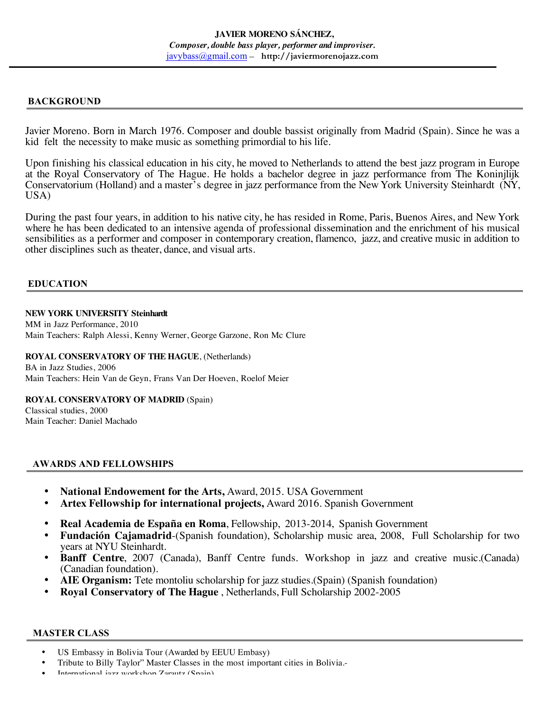# **BACKGROUND**

Javier Moreno. Born in March 1976. Composer and double bassist originally from Madrid (Spain). Since he was a kid felt the necessity to make music as something primordial to his life.

Upon finishing his classical education in his city, he moved to Netherlands to attend the best jazz program in Europe at the Royal Conservatory of The Hague. He holds a bachelor degree in jazz performance from The Koninjlijk Conservatorium (Holland) and a master's degree in jazz performance from the New York University Steinhardt (NY, USA)

During the past four years, in addition to his native city, he has resided in Rome, Paris, Buenos Aires, and New York where he has been dedicated to an intensive agenda of professional dissemination and the enrichment of his musical sensibilities as a performer and composer in contemporary creation, flamenco, jazz, and creative music in addition to other disciplines such as theater, dance, and visual arts.

## **EDUCATION**

## **NEW YORK UNIVERSITY Steinhardt**

MM in Jazz Performance, 2010 Main Teachers: Ralph Alessi, Kenny Werner, George Garzone, Ron Mc Clure

#### **ROYAL CONSERVATORY OF THE HAGUE**, (Netherlands)

BA in Jazz Studies, 2006 Main Teachers: Hein Van de Geyn, Frans Van Der Hoeven, Roelof Meier

### **ROYAL CONSERVATORY OF MADRID** (Spain)

Classical studies, 2000 Main Teacher: Daniel Machado

# **AWARDS AND FELLOWSHIPS**

- **National Endowement for the Arts,** Award, 2015. USA Government
- **Artex Fellowship for international projects,** Award 2016. Spanish Government
- **Real Academia de España en Roma**, Fellowship, 2013-2014, Spanish Government
- **Fundación Cajamadrid**-(Spanish foundation), Scholarship music area, 2008, Full Scholarship for two years at NYU Steinhardt.
- **Banff Centre**, 2007 (Canada), Banff Centre funds. Workshop in jazz and creative music.(Canada) (Canadian foundation).
- **AIE Organism:** Tete montoliu scholarship for jazz studies.(Spain) (Spanish foundation)
- **Royal Conservatory of The Hague** , Netherlands, Full Scholarship 2002-2005

#### **MASTER CLASS**

- US Embassy in Bolivia Tour (Awarded by EEUU Embasy)
- Tribute to Billy Taylor" Master Classes in the most important cities in Bolivia.-
- International jazz workshop Zarautz (Spain)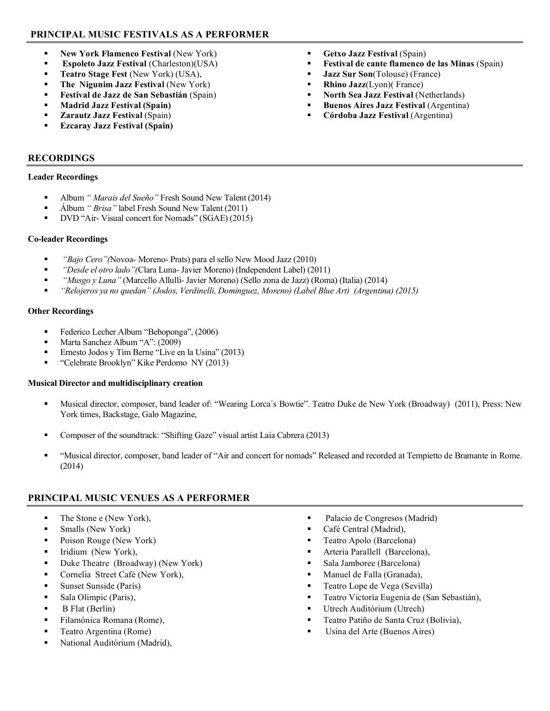# **PRINCIPAL MUSIC FESTIVALS AS A PERFORMER**

- **New York Flamenco Festival (New York)**
- **Espoleto Jazz Festival** (Charleston)(USA)
- **Teatro Stage Fest** (New York) (USA),
- **The Nigunim Jazz Festival** (New York)
- **Festival de Jazz de San Sebastián** (Spain)
- **Madrid Jazz Festival (Spain)**
- **Zarautz Jazz Festival** (Spain)
- **Ezcaray Jazz Festival (Spain)**

# **RECORDINGS**

## **Leader Recordings**

- Album *" Marais del Sueño"* Fresh Sound New Talent (2014)
- Álbum *" Brisa"* label Fresh Sound New Talent (2011)
- DVD "Air- Visual concert for Nomads" (SGAE) (2015)

## **Co-leader Recordings**

- *"Bajo Cero"(*Novoa- Moreno- Prats) para el sello New Mood Jazz (2010)
- *"Desde el otro lado"(*Clara Luna- Javier Moreno) (Independent Label) (2011)
- *"Musgo y Luna"* (Marcello Allulli- Javier Moreno) (Sello zona de Jazz) (Roma) (Italia) (2014)
- *"Relojeros ya no quedan" (Jodos, Verdinelli, Dominguez, Moreno) (Label Blue Art) (Argentina) (2015)*

## **Other Recordings**

- Federico Lecher Album "Beboponga", (2006)
- Marta Sanchez Album "A": (2009)
- **Ernesto Jodos y Tim Berne "Live en la Usina" (2013)**
- "Celebrate Brooklyn" Kike Perdomo NY (2013)

#### **Musical Director and multidisciplinary creation**

- Musical director, composer, band leader of: "Wearing Lorca´s Bowtie". Teatro Duke de New York (Broadway) (2011), Press: New York times, Backstage, Galo Magazine,
- Composer of the soundtrack: "Shifting Gaze" visual artist Laia Cabrera (2013)
- "Musical director, composer, band leader of "Air and concert for nomads" Released and recorded at Tempietto de Bramante in Rome. (2014)

# **PRINCIPAL MUSIC VENUES AS A PERFORMER**

- The Stone e (New York),
- Smalls (New York)
- Poison Rouge (New York)
- **Iridium** (New York),
- Duke Theatre (Broadway) (New York)
- Cornelia Street Café (New York),
- Sunset Sunside (París)
- Sala Olimpic (París),
- $\blacksquare$  B Flat (Berlín)
- Filamónica Romana (Rome),
- Teatro Argentina (Rome)
- National Auditórium (Madrid),
- Palacio de Congresos (Madrid)
- Café Central (Madrid),
- **Teatro Apolo (Barcelona)**
- Arteria Parallell (Barcelona),
- Sala Jamboree (Barcelona)
- **Manuel de Falla (Granada),**
- Teatro Lope de Vega (Sevilla)
- Teatro Victoria Eugenia de (San Sebastián),
- Utrech Auditórium (Utrech)
- Teatro Patiño de Santa Cruz (Bolivia),
- Usina del Arte (Buenos Aires)
- **Getxo Jazz Festival** (Spain)
- **Festival de cante flamenco de las Minas (Spain)**
- **Jazz Sur Son**(Tolouse) (France)
- **Rhino Jazz**(Lyon)( France)
- **North Sea Jazz Festival** (Netherlands)
- **Buenos Aires Jazz Festival** (Argentina)
- **Córdoba Jazz Festival** (Argentina)